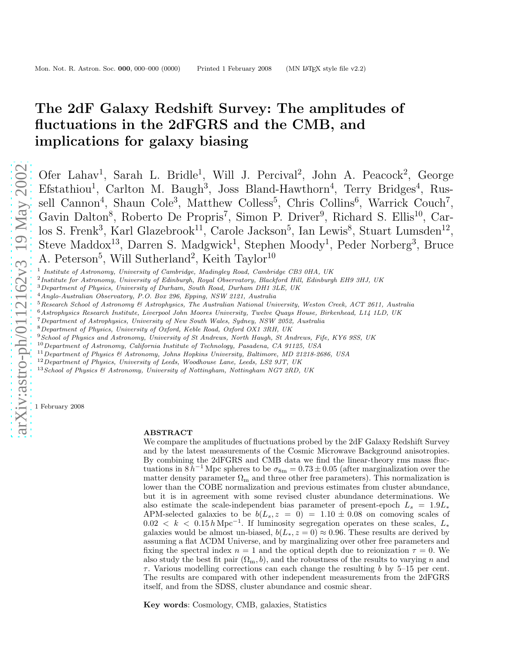# The 2dF Galaxy Redshift Survey: The amplitudes of fluctuations in the 2dFGRS and the CMB, and implications for galaxy biasing

Ofer Lahav<sup>1</sup>, Sarah L. Bridle<sup>1</sup>, Will J. Percival<sup>2</sup>, John A. Peacock<sup>2</sup>, George Efstathiou<sup>1</sup>, Carlton M. Baugh<sup>3</sup>, Joss Bland-Hawthorn<sup>4</sup>, Terry Bridges<sup>4</sup>, Russell Cannon<sup>4</sup>, Shaun Cole<sup>3</sup>, Matthew Colless<sup>5</sup>, Chris Collins<sup>6</sup>, Warrick Couch<sup>7</sup>, Gavin Dalton<sup>8</sup>, Roberto De Propris<sup>7</sup>, Simon P. Driver<sup>9</sup>, Richard S. Ellis<sup>10</sup>, Carlos S. Frenk<sup>3</sup>, Karl Glazebrook<sup>11</sup>, Carole Jackson<sup>5</sup>, Ian Lewis<sup>8</sup>, Stuart Lumsden<sup>12</sup>, Steve Maddox<sup>13</sup>, Darren S. Madgwick<sup>1</sup>, Stephen Moody<sup>1</sup>, Peder Norberg<sup>3</sup>, Bruce A. Peterson<sup>5</sup>, Will Sutherland<sup>2</sup>, Keith Taylor<sup>10</sup>

- <sup>1</sup> Institute of Astronomy, University of Cambridge, Madingley Road, Cambridge CB3 0HA, UK
- <sup>2</sup> Institute for Astronomy, University of Edinburgh, Royal Observatory, Blackford Hill, Edinburgh EH9 3HJ, UK
- <sup>3</sup>Department of Physics, University of Durham, South Road, Durham DH1 3LE, UK
- <sup>4</sup>Anglo-Australian Observatory, P.O. Box 296, Epping, NSW 2121, Australia
- $5$ Research School of Astronomy & Astrophysics, The Australian National University, Weston Creek, ACT 2611, Australia
- $^6$ Astrophysics Research Institute, Liverpool John Moores University, Twelve Quays House, Birkenhead, L14 1LD, UK
- <sup>7</sup>Department of Astrophysics, University of New South Wales, Sydney, NSW 2052, Australia
- <sup>8</sup>Department of Physics, University of Oxford, Keble Road, Oxford OX1 3RH, UK
- <sup>9</sup> School of Physics and Astronomy, University of St Andrews, North Haugh, St Andrews, Fife, KY6 9SS, UK
- $^{10}$  Department of Astronomy, California Institute of Technology, Pasadena, CA 91125, USA
- $11$  Department of Physics & Astronomy, Johns Hopkins University, Baltimore, MD 21218-2686, USA
- $12$  Department of Physics, University of Leeds, Woodhouse Lane, Leeds, LS2 9JT, UK
- <sup>13</sup> School of Physics & Astronomy, University of Nottingham, Nottingham NG7 2RD, UK

1 February 2008

#### ABSTRACT

We compare the amplitudes of fluctuations probed by the 2dF Galaxy Redshift Survey and by the latest measurements of the Cosmic Microwave Background anisotropies. By combining the 2dFGRS and CMB data we find the linear-theory rms mass fluctuations in  $8 h^{-1}$  Mpc spheres to be  $\sigma_{8m} = 0.73 \pm 0.05$  (after marginalization over the matter density parameter  $\Omega_{\rm m}$  and three other free parameters). This normalization is lower than the COBE normalization and previous estimates from cluster abundance, but it is in agreement with some revised cluster abundance determinations. We also estimate the scale-independent bias parameter of present-epoch  $L_s = 1.9L_*$ APM-selected galaxies to be  $b(L_s, z = 0) = 1.10 \pm 0.08$  on comoving scales of 0.02 < k < 0.15 h Mpc<sup>-1</sup>. If luminosity segregation operates on these scales,  $L_*$ galaxies would be almost un-biased,  $b(L_*, z = 0) \approx 0.96$ . These results are derived by assuming a flat ΛCDM Universe, and by marginalizing over other free parameters and fixing the spectral index  $n = 1$  and the optical depth due to reionization  $\tau = 0$ . We also study the best fit pair  $(\Omega_m, b)$ , and the robustness of the results to varying n and  $\tau$ . Various modelling corrections can each change the resulting b by 5–15 per cent. The results are compared with other independent measurements from the 2dFGRS itself, and from the SDSS, cluster abundance and cosmic shear.

Key words: Cosmology, CMB, galaxies, Statistics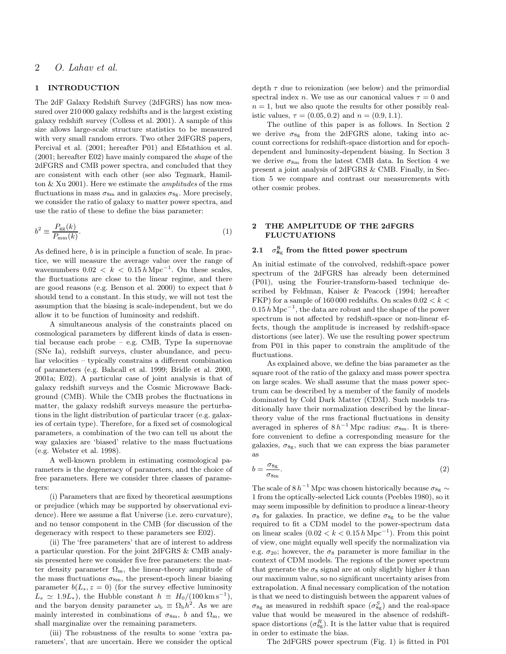# 1 INTRODUCTION

The 2dF Galaxy Redshift Survey (2dFGRS) has now measured over 210 000 galaxy redshifts and is the largest existing galaxy redshift survey (Colless et al. 2001). A sample of this size allows large-scale structure statistics to be measured with very small random errors. Two other 2dFGRS papers, Percival et al. (2001; hereafter P01) and Efstathiou et al. (2001; hereafter E02) have mainly compared the shape of the 2dFGRS and CMB power spectra, and concluded that they are consistent with each other (see also Tegmark, Hamilton & Xu 2001). Here we estimate the amplitudes of the rms fluctuations in mass  $\sigma_{8m}$  and in galaxies  $\sigma_{8g}$ . More precisely, we consider the ratio of galaxy to matter power spectra, and use the ratio of these to define the bias parameter:

$$
b^2 \equiv \frac{P_{\rm gg}(k)}{P_{\rm mm}(k)}.\tag{1}
$$

As defined here, b is in principle a function of scale. In practice, we will measure the average value over the range of wavenumbers  $0.02 < k < 0.15 h \,\mathrm{Mpc}^{-1}$ . On these scales, the fluctuations are close to the linear regime, and there are good reasons (e.g. Benson et al. 2000) to expect that b should tend to a constant. In this study, we will not test the assumption that the biasing is scale-independent, but we do allow it to be function of luminosity and redshift.

A simultaneous analysis of the constraints placed on cosmological parameters by different kinds of data is essential because each probe – e.g. CMB, Type Ia supernovae (SNe Ia), redshift surveys, cluster abundance, and peculiar velocities – typically constrains a different combination of parameters (e.g. Bahcall et al. 1999; Bridle et al. 2000, 2001a; E02). A particular case of joint analysis is that of galaxy redshift surveys and the Cosmic Microwave Background (CMB). While the CMB probes the fluctuations in matter, the galaxy redshift surveys measure the perturbations in the light distribution of particular tracer (e.g. galaxies of certain type). Therefore, for a fixed set of cosmological parameters, a combination of the two can tell us about the way galaxies are 'biased' relative to the mass fluctuations (e.g. Webster et al. 1998).

A well-known problem in estimating cosmological parameters is the degeneracy of parameters, and the choice of free parameters. Here we consider three classes of parameters:

(i) Parameters that are fixed by theoretical assumptions or prejudice (which may be supported by observational evidence). Here we assume a flat Universe (i.e. zero curvature), and no tensor component in the CMB (for discussion of the degeneracy with respect to these parameters see E02).

(ii) The 'free parameters' that are of interest to address a particular question. For the joint 2dFGRS & CMB analysis presented here we consider five free parameters: the matter density parameter  $\Omega_{\rm m}$ , the linear-theory amplitude of the mass fluctuations  $\sigma_{8m}$ , the present-epoch linear biasing parameter  $b(L_s, z = 0)$  (for the survey effective luminosity  $L_s \simeq 1.9L_*$ ), the Hubble constant  $h \equiv H_0/(100 \,\mathrm{km\,s}^{-1})$ , and the baryon density parameter  $\omega_{\rm b} \equiv \Omega_{\rm b} h^2$ . As we are mainly interested in combinations of  $\sigma_{8m}$ , b and  $\Omega_{m}$ , we shall marginalize over the remaining parameters.

(iii) The robustness of the results to some 'extra parameters', that are uncertain. Here we consider the optical

depth  $\tau$  due to reionization (see below) and the primordial spectral index n. We use as our canonical values  $\tau = 0$  and  $n = 1$ , but we also quote the results for other possibly realistic values,  $\tau = (0.05, 0.2)$  and  $n = (0.9, 1.1)$ .

The outline of this paper is as follows. In Section 2 we derive  $\sigma_{8g}$  from the 2dFGRS alone, taking into account corrections for redshift-space distortion and for epochdependent and luminosity-dependent biasing. In Section 3 we derive  $\sigma_{8m}$  from the latest CMB data. In Section 4 we present a joint analysis of 2dFGRS & CMB. Finally, in Section 5 we compare and contrast our measurements with other cosmic probes.

# 2 THE AMPLITUDE OF THE 2dFGRS FLUCTUATIONS

# 2.1  $\sigma_{8g}^{\text{S}}$  from the fitted power spectrum

An initial estimate of the convolved, redshift-space power spectrum of the 2dFGRS has already been determined (P01), using the Fourier-transform-based technique described by Feldman, Kaiser & Peacock (1994; hereafter FKP) for a sample of 160 000 redshifts. On scales  $0.02 < k <$  $0.15 \hat{h} \, \text{Mpc}^{-1}$ , the data are robust and the shape of the power spectrum is not affected by redshift-space or non-linear effects, though the amplitude is increased by redshift-space distortions (see later). We use the resulting power spectrum from P01 in this paper to constrain the amplitude of the fluctuations.

As explained above, we define the bias parameter as the square root of the ratio of the galaxy and mass power spectra on large scales. We shall assume that the mass power spectrum can be described by a member of the family of models dominated by Cold Dark Matter (CDM). Such models traditionally have their normalization described by the lineartheory value of the rms fractional fluctuations in density averaged in spheres of  $8 h^{-1}$  Mpc radius:  $\sigma_{8m}$ . It is therefore convenient to define a corresponding measure for the galaxies,  $\sigma_{8g}$ , such that we can express the bias parameter as

$$
b = \frac{\sigma_{8g}}{\sigma_{8m}}.\tag{2}
$$

The scale of 8  $h^{-1}$  Mpc was chosen historically because  $\sigma_{8g} \sim$ 1 from the optically-selected Lick counts (Peebles 1980), so it may seem impossible by definition to produce a linear-theory σ<sub>8</sub> for galaxies. In practice, we define σ<sub>8g</sub> to be the value required to fit a CDM model to the power-spectrum data on linear scales  $(0.02 < k < 0.15 h \text{ Mpc}^{-1})$ . From this point of view, one might equally well specify the normalization via e.g.  $\sigma_{20}$ ; however, the  $\sigma_8$  parameter is more familiar in the context of CDM models. The regions of the power spectrum that generate the  $\sigma_8$  signal are at only slightly higher k than our maximum value, so no significant uncertainty arises from extrapolation. A final necessary complication of the notation is that we need to distinguish between the apparent values of  $\sigma_{8g}$  as measured in redshift space  $(\sigma_{8g}^S)$  and the real-space value that would be measured in the absence of redshiftspace distortions  $(\sigma_{8g}^R)$ . It is the latter value that is required in order to estimate the bias.

The 2dFGRS power spectrum (Fig. 1) is fitted in P01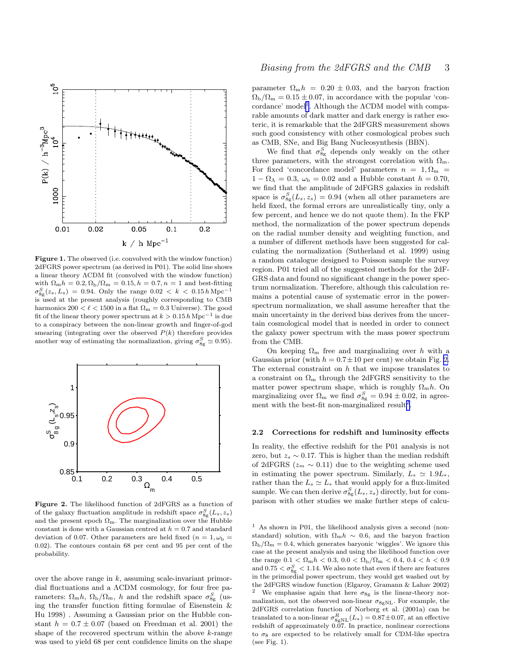

Figure 1. The observed (i.e. convolved with the window function) 2dFGRS power spectrum (as derived in P01). The solid line shows a linear theory ΛCDM fit (convolved with the window function) with  $\Omega_{\rm m}h = 0.2, \Omega_{\rm b}/\Omega_{\rm m} = 0.15, h = 0.7, n = 1$  and best-fitting  $\sigma_{8g}^{S}(z_s, L_s) = 0.94.$  Only the range  $0.02 \, < \, k \, < \, 0.15 \, h \, {\rm Mpc}^{-1}$ is used at the present analysis (roughly corresponding to CMB harmonics  $200 < \ell < 1500$  in a flat  $\Omega_m = 0.3$  Universe). The good fit of the linear theory power spectrum at  $k > 0.15 h \,\mathrm{Mpc}^{-1}$  is due to a conspiracy between the non-linear growth and finger-of-god smearing (integrating over the observed  $P(k)$  therefore provides another way of estimating the normalization, giving  $\sigma_{8g}^S \simeq 0.95$ ).



Figure 2. The likelihood function of 2dFGRS as a function of of the galaxy fluctuation amplitude in redshift space  $\sigma_{8g}^S(L_s, z_s)$ and the present epoch  $\Omega_{\rm m}$ . The marginalization over the Hubble constant is done with a Gaussian centred at  $h = 0.7$  and standard deviation of 0.07. Other parameters are held fixed ( $n = 1, \omega_{\rm b} =$ 0.02). The contours contain 68 per cent and 95 per cent of the probability.

over the above range in  $k$ , assuming scale-invariant primordial fluctuations and a ΛCDM cosmology, for four free parameters:  $\Omega_{\rm m}h$ ,  $\Omega_{\rm b}/\Omega_{\rm m}$ , h and the redshift space  $\sigma_{8g}^S$  (using the transfer function fitting formulae of Eisenstein & Hu 1998) . Assuming a Gaussian prior on the Hubble constant  $h = 0.7 \pm 0.07$  (based on Freedman et al. 2001) the shape of the recovered spectrum within the above  $k$ -range was used to yield 68 per cent confidence limits on the shape parameter  $\Omega_{\rm m}h = 0.20 \pm 0.03$ , and the baryon fraction  $\Omega_{\rm b}/\Omega_{\rm m} = 0.15 \pm 0.07$ , in accordance with the popular 'concordance' model<sup>1</sup>. Although the  $\Lambda$ CDM model with comparable amounts of dark matter and dark energy is rather esoteric, it is remarkable that the 2dFGRS measurement shows such good consistency with other cosmological probes such as CMB, SNe, and Big Bang Nucleosynthesis (BBN).

We find that  $\sigma_{8g}^S$  depends only weakly on the other three parameters, with the strongest correlation with  $\Omega_{\rm m}$ . For fixed 'concordance model' parameters  $n = 1, \Omega_m$  =  $1 - \Omega_{\Lambda} = 0.3$ ,  $\omega_{\rm b} = 0.02$  and a Hubble constant  $h = 0.70$ , we find that the amplitude of 2dFGRS galaxies in redshift space is  $\sigma_{8g}^S(L_s, z_s) = 0.94$  (when all other parameters are held fixed, the formal errors are unrealistically tiny, only a few percent, and hence we do not quote them). In the FKP method, the normalization of the power spectrum depends on the radial number density and weighting function, and a number of different methods have been suggested for calculating the normalization (Sutherland et al. 1999) using a random catalogue designed to Poisson sample the survey region. P01 tried all of the suggested methods for the 2dF-GRS data and found no significant change in the power spectrum normalization. Therefore, although this calculation remains a potential cause of systematic error in the powerspectrum normalization, we shall assume hereafter that the main uncertainty in the derived bias derives from the uncertain cosmological model that is needed in order to connect the galaxy power spectrum with the mass power spectrum from the CMB.

On keeping  $\Omega_{\rm m}$  free and marginalizing over h with a Gaussian prior (with  $h = 0.7 \pm 10$  per cent) we obtain Fig. 2. The external constraint on  $h$  that we impose translates to a constraint on  $\Omega_{\rm m}$  through the 2dFGRS sensitivity to the matter power spectrum shape, which is roughly  $\Omega_{\rm m} h$ . On marginalizing over  $\Omega_{\rm m}$  we find  $\sigma_{8g}^S = 0.94 \pm 0.02$ , in agreement with the best-fit non-marginalized result<sup>2</sup>.

## 2.2 Corrections for redshift and luminosity effects

In reality, the effective redshift for the P01 analysis is not zero, but  $z_s \sim 0.17$ . This is higher than the median redshift of 2dFGRS ( $z_m \sim 0.11$ ) due to the weighting scheme used in estimating the power spectrum. Similarly,  $L_s \simeq 1.9L_*$ , rather than the  $L_s \simeq L_*$  that would apply for a flux-limited sample. We can then derive  $\sigma_{8g}^S(L_s, z_s)$  directly, but for comparison with other studies we make further steps of calcu-

 $1$  As shown in P01, the likelihood analysis gives a second (nonstandard) solution, with  $\Omega_{\rm m}h \sim 0.6$ , and the baryon fraction  $\Omega_{\rm b}/\Omega_{\rm m} = 0.4$ , which generates baryonic 'wiggles'. We ignore this case at the present analysis and using the likelihood function over the range  $0.1 < \Omega_{\rm m} h < 0.3$ ,  $0.0 < \Omega_{\rm b} / \Omega_{\rm m} < 0.4$ ,  $0.4 < h < 0.9$ and  $0.75 < \sigma_{8g}^S < 1.14$ . We also note that even if there are features in the primordial power spectrum, they would get washed out by the 2dFGRS window function (Elgaroy, Gramann & Lahav 2002) We emphasise again that here  $\sigma_{8g}$  is the linear-theory normalization, not the observed non-linear  $\sigma_{8eNL}$ . For example, the 2dFGRS correlation function of Norberg et al. (2001a) can be translated to a non-linear  $\sigma_{8\text{gNL}}^R(L_*) = 0.87 \pm 0.07$ , at an effective redshift of approximately 0.07. In practice, nonlinear corrections to  $\sigma_8$  are expected to be relatively small for CDM-like spectra (see Fig. 1).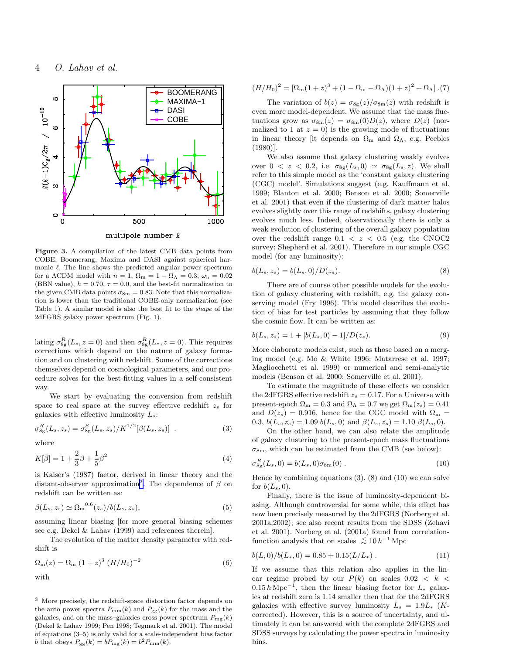<span id="page-3-0"></span>

Figure 3. A compilation of the latest CMB data points from COBE, Boomerang, Maxima and DASI against spherical harmonic  $\ell$ . The line shows the predicted angular power spectrum for a  $\Lambda$ CDM model with  $n = 1$ ,  $\Omega_{\rm m} = 1 - \Omega_{\Lambda} = 0.3$ ,  $\omega_{\rm b} = 0.02$ (BBN value),  $h = 0.70$ ,  $\tau = 0.0$ , and the best-fit normalization to the given CMB data points  $\sigma_{8m} = 0.83$ . Note that this normalization is lower than the traditional COBE-only normalization (see Table 1). A similar model is also the best fit to the shape of the 2dFGRS galaxy power spectrum (Fig. 1).

lating  $\sigma_{8g}^R(L_s, z=0)$  and then  $\sigma_{8g}^R(L_*, z=0)$ . This requires corrections which depend on the nature of galaxy formation and on clustering with redshift. Some of the corrections themselves depend on cosmological parameters, and our procedure solves for the best-fitting values in a self-consistent way.

We start by evaluating the conversion from redshift space to real space at the survey effective redshift  $z_s$  for galaxies with effective luminosity  $L_s$ :

$$
\sigma_{8g}^{R}(L_s, z_s) = \sigma_{8g}^{S}(L_s, z_s) / K^{1/2} [\beta(L_s, z_s)] . \tag{3}
$$

where

$$
K[\beta] = 1 + \frac{2}{3}\beta + \frac{1}{5}\beta^2
$$
\n(4)

is Kaiser's (1987) factor, derived in linear theory and the distant-observer approximation<sup>3</sup>. The dependence of  $\beta$  on redshift can be written as:

$$
\beta(L_s, z_s) \simeq \Omega_{\rm m}^{0.6}(z_s)/b(L_s, z_s), \tag{5}
$$

assuming linear biasing [for more general biasing schemes see e.g. Dekel & Lahav (1999) and references therein].

The evolution of the matter density parameter with redshift is

$$
\Omega_{\rm m}(z) = \Omega_{\rm m} (1+z)^3 (H/H_0)^{-2}
$$
 (6)  
with

 $^3\,$  More precisely, the redshift-space distortion factor depends on the auto power spectra  $P_{mm}(k)$  and  $P_{gg}(k)$  for the mass and the galaxies, and on the mass–galaxies cross power spectrum  $P_{mg}(k)$ (Dekel & Lahav 1999; Pen 1998; Tegmark et al. 2001). The model of equations (3–5) is only valid for a scale-independent bias factor b that obeys  $P_{\rm gg}(k) = b P_{\rm mg}(k) = b^2 P_{\rm mm}(k)$ .

$$
(H/H_0)^2 = [\Omega_{\rm m}(1+z)^3 + (1 - \Omega_{\rm m} - \Omega_{\Lambda})(1+z)^2 + \Omega_{\Lambda}].(7)
$$

The variation of  $b(z) = \sigma_{8g}(z)/\sigma_{8m}(z)$  with redshift is even more model-dependent. We assume that the mass fluctuations grow as  $\sigma_{8m}(z) = \sigma_{8m}(0)D(z)$ , where  $D(z)$  (normalized to 1 at  $z = 0$ ) is the growing mode of fluctuations in linear theory [it depends on  $\Omega_{\rm m}$  and  $\Omega_{\Lambda}$ , e.g. Peebles (1980)].

We also assume that galaxy clustering weakly evolves over  $0 < z < 0.2$ , i.e.  $\sigma_{8g}(L_s, 0) \simeq \sigma_{8g}(L_s, z)$ . We shall refer to this simple model as the 'constant galaxy clustering (CGC) model'. Simulations suggest (e.g. Kauffmann et al. 1999; Blanton et al. 2000; Benson et al. 2000; Somerville et al. 2001) that even if the clustering of dark matter halos evolves slightly over this range of redshifts, galaxy clustering evolves much less. Indeed, observationally there is only a weak evolution of clustering of the overall galaxy population over the redshift range  $0.1 < z < 0.5$  (e.g. the CNOC2) survey: Shepherd et al. 2001). Therefore in our simple CGC model (for any luminosity):

$$
b(L_s, z_s) = b(L_s, 0) / D(z_s).
$$
 (8)

There are of course other possible models for the evolution of galaxy clustering with redshift, e.g. the galaxy conserving model (Fry 1996). This model describes the evolution of bias for test particles by assuming that they follow the cosmic flow. It can be written as:

$$
b(L_s, z_s) = 1 + [b(L_s, 0) - 1]/D(z_s).
$$
\n(9)

More elaborate models exist, such as those based on a merging model (e.g. Mo & White 1996; Matarrese et al. 1997; Magliocchetti et al. 1999) or numerical and semi-analytic models (Benson et al. 2000; Somerville et al. 2001).

To estimate the magnitude of these effects we consider the 2dFGRS effective redshift  $z_s = 0.17$ . For a Universe with present-epoch  $\Omega_{\rm m} = 0.3$  and  $\Omega_{\Lambda} = 0.7$  we get  $\Omega_{\rm m}(z_s) = 0.41$ and  $D(z_s) = 0.916$ , hence for the CGC model with  $\Omega_{\rm m} =$ 0.3,  $b(L_s, z_s) = 1.09 b(L_s, 0)$  and  $\beta(L_s, z_s) = 1.10 \beta(L_s, 0)$ .

On the other hand, we can also relate the amplitude of galaxy clustering to the present-epoch mass fluctuations  $\sigma_{8m}$ , which can be estimated from the CMB (see below):

$$
\sigma_{8g}^{R}(L_s, 0) = b(L_s, 0)\sigma_{8m}(0) .
$$
 (10)

Hence by combining equations  $(3)$ ,  $(8)$  and  $(10)$  we can solve for  $b(L_s, 0)$ .

Finally, there is the issue of luminosity-dependent biasing. Although controversial for some while, this effect has now been precisely measured by the 2dFGRS (Norberg et al. 2001a,2002); see also recent results from the SDSS (Zehavi et al. 2001). Norberg et al. (2001a) found from correlationfunction analysis that on scales  $\lesssim 10 h^{-1}$  Mpc

$$
b(L,0)/b(L_*,0) = 0.85 + 0.15(L/L_*)
$$
 (11)

If we assume that this relation also applies in the linear regime probed by our  $P(k)$  on scales  $0.02 < k <$  $0.15 h \text{ Mpc}^{-1}$ , then the linear biasing factor for  $L_*$  galaxies at redshift zero is 1.14 smaller then that for the 2dFGRS galaxies with effective survey luminosity  $L_s = 1.9L_*$  (Kcorrected). However, this is a source of uncertainty, and ultimately it can be answered with the complete 2dFGRS and SDSS surveys by calculating the power spectra in luminosity bins.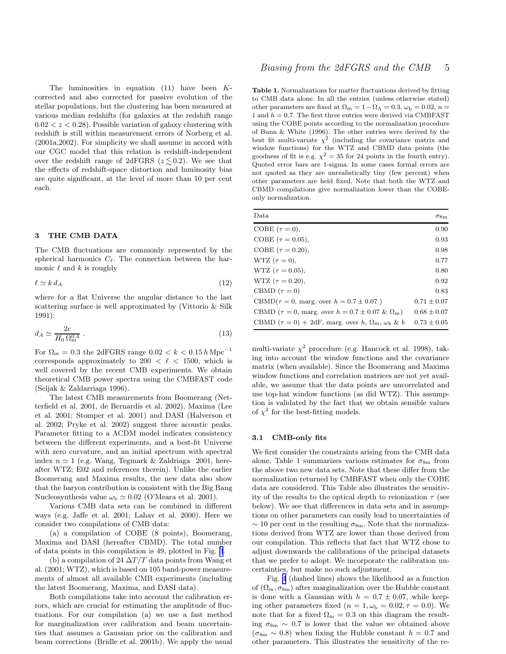The luminosities in equation  $(11)$  have been  $K$ corrected and also corrected for passive evolution of the stellar populations, but the clustering has been measured at various median redshifts (for galaxies at the redshift range  $0.02 < z < 0.28$ . Possible variation of galaxy clustering with redshift is still within measurement errors of Norberg et al. (2001a,2002). For simplicity we shall assume in accord with our CGC model that this relation is redshift-independent over the redshift range of 2dFGRS ( $z \lesssim 0.2$ ). We see that the effects of redshift-space distortion and luminosity bias are quite significant, at the level of more than 10 per cent each.

# 3 THE CMB DATA

The CMB fluctuations are commonly represented by the spherical harmonics  $C_{\ell}$ . The connection between the harmonic  $\ell$  and  $k$  is roughly

$$
\ell \simeq k \, d_A \tag{12}
$$

where for a flat Universe the angular distance to the last scattering surface is well approximated by (Vittorio & Silk 1991):

$$
d_A \simeq \frac{2c}{H_0 \Omega_{\rm m}^{0.4}} \,. \tag{13}
$$

For  $\Omega_{\rm m}$  = 0.3 the 2dFGRS range  $0.02 < k < 0.15\,h\,{\rm Mpc^{-1}}$ corresponds approximately to 200  $\lt$   $\ell$   $\lt$  1500, which is well covered by the recent CMB experiments. We obtain theoretical CMB power spectra using the CMBFAST code (Seljak & Zaldarriaga 1996).

The latest CMB measurements from Boomerang (Netterfield et al. 2001, de Bernardis et al. 2002), Maxima (Lee et al. 2001; Stomper et al. 2001) and DASI (Halverson et al. 2002; Pryke et al. 2002) suggest three acoustic peaks. Parameter fitting to a ΛCDM model indicates consistency between the different experiments, and a best-fit Universe with zero curvature, and an initial spectrum with spectral index  $n \approx 1$  (e.g. Wang, Tegmark & Zaldriaga 2001, hereafter WTZ; E02 and references therein). Unlike the earlier Boomerang and Maxima results, the new data also show that the baryon contribution is consistent with the Big Bang Nucleosynthesis value  $\omega_{\rm b} \simeq 0.02$  (O'Meara et al. 2001).

Various CMB data sets can be combined in different ways (e.g. Jaffe et al. 2001; Lahav et al. 2000). Here we consider two compilations of CMB data:

(a) a compilation of COBE (8 points), Boomerang, Maxima and DASI (hereafter CBMD). The total number of data points in this compilation is 49, plotted in Fig. [3](#page-3-0).

(b) a compilation of 24  $\Delta T/T$  data points from Wang et al. (2001; WTZ), which is based on 105 band-power measurements of almost all available CMB experiments (including the latest Boomerang, Maxima, and DASI data).

Both compilations take into account the calibration errors, which are crucial for estimating the amplitude of fluctuations. For our compilation (a) we use a fast method for marginalization over calibration and beam uncertainties that assumes a Gaussian prior on the calibration and beam corrections (Bridle et al. 2001b). We apply the usual

Table 1. Normalizations for matter fluctuations derived by fitting to CMB data alone. In all the entries (unless otherwise stated) other parameters are fixed at  $\Omega_{\rm m} = 1 - \Omega_{\Lambda} = 0.3, \omega_{\rm b} = 0.02, n = 0.1$ 1 and  $h = 0.7$ . The first three entries were derived via CMBFAST using the COBE points according to the normalization procedure of Bunn & White (1996). The other entries were derived by the best fit multi-variate  $\chi^2$  (including the covariance matrix and window functions) for the WTZ and CBMD data points (the goodness of fit is e.g.  $\chi^2 = 35$  for 24 points in the fourth entry). Quoted error bars are 1-sigma. In some cases formal errors are not quoted as they are unrealistically tiny (few percent) when other parameters are held fixed. Note that both the WTZ and CBMD compilations give normalization lower than the COBEonly normalization.

| Data                                                                 | $\sigma_{\rm 8m}$ |
|----------------------------------------------------------------------|-------------------|
| COBE $(\tau = 0)$ ,                                                  | 0.90              |
| COBE $(\tau = 0.05)$ ,                                               | 0.93              |
| COBE $(\tau = 0.20)$ ,                                               | 0.98              |
| WTZ $(\tau = 0)$ ,                                                   | 0.77              |
| WTZ ( $\tau = 0.05$ ),                                               | 0.80              |
| WTZ $(\tau = 0.20)$ ,                                                | 0.92              |
| CBMD $(\tau = 0)$                                                    | 0.83              |
| CBMD( $\tau = 0$ , marg. over $h = 0.7 \pm 0.07$ )                   | $0.71 \pm 0.07$   |
| CBMD ( $\tau = 0$ , marg. over $h = 0.7 \pm 0.07 \& \Omega_m$ )      | $0.68 \pm 0.07$   |
| CBMD $(\tau = 0) + 2dF$ , marg. over h, $\Omega_m$ , $\omega_b \& b$ | $0.73 \pm 0.05$   |

multi-variate  $\chi^2$  procedure (e.g. Hancock et al. 1998), taking into account the window functions and the covariance matrix (when available). Since the Boomerang and Maxima window functions and correlation matrices are not yet available, we assume that the data points are uncorrelated and use top-hat window functions (as did WTZ). This assumption is validated by the fact that we obtain sensible values of  $\chi^2$  for the best-fitting models.

#### 3.1 CMB-only fits

We first consider the constraints arising from the CMB data alone. Table 1 summarizes various estimates for  $\sigma_{8m}$  from the above two new data sets. Note that these differ from the normalization returned by CMBFAST when only the COBE data are considered. This Table also illustrates the sensitivity of the results to the optical depth to reionization  $\tau$  (see below). We see that differences in data sets and in assumptions on other parameters can easily lead to uncertainties of  $\sim$  10 per cent in the resulting  $\sigma_{8m}$ . Note that the normalizations derived from WTZ are lower than those derived from our compilation. This reflects that fact that WTZ chose to adjust downwards the calibrations of the principal datasets that we prefer to adopt. We incorporate the calibration uncertainties, but make no such adjustment.

Fig. [4](#page-5-0) (dashed lines) shows the likelihood as a function of  $(\Omega_{\rm m}, \sigma_{8\rm m})$  after marginalization over the Hubble constant is done with a Gaussian with  $h = 0.7 \pm 0.07$ , while keeping other parameters fixed ( $n = 1, \omega_{\rm b} = 0.02, \tau = 0.0$ ). We note that for a fixed  $\Omega_{\rm m} = 0.3$  on this diagram the resulting  $\sigma_{8m} \sim 0.7$  is lower that the value we obtained above  $(\sigma_{8m} \sim 0.8)$  when fixing the Hubble constant  $h = 0.7$  and other parameters. This illustrates the sensitivity of the re-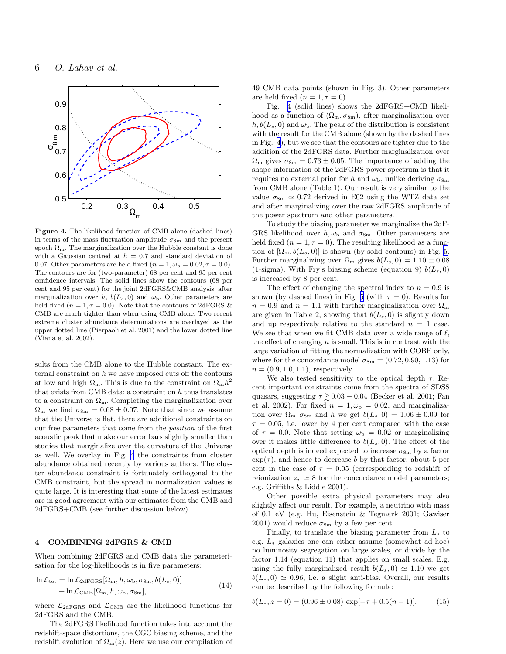<span id="page-5-0"></span>

Figure 4. The likelihood function of CMB alone (dashed lines) in terms of the mass fluctuation amplitude  $\sigma_{8m}$  and the present epoch  $\Omega_{\rm m}$ . The marginalization over the Hubble constant is done with a Gaussian centred at  $h = 0.7$  and standard deviation of 0.07. Other parameters are held fixed  $(n = 1, \omega_b = 0.02, \tau = 0.0)$ . The contours are for (two-parameter) 68 per cent and 95 per cent confidence intervals. The solid lines show the contours (68 per cent and 95 per cent) for the joint 2dFGRS&CMB analysis, after marginalization over h,  $b(L_s, 0)$  and  $\omega_b$ . Other parameters are held fixed ( $n = 1, \tau = 0.0$ ). Note that the contours of 2dFGRS & CMB are much tighter than when using CMB alone. Two recent extreme cluster abundance determinations are overlayed as the upper dotted line (Pierpaoli et al. 2001) and the lower dotted line (Viana et al. 2002).

sults from the CMB alone to the Hubble constant. The external constraint on  $h$  we have imposed cuts off the contours at low and high  $\Omega_{\rm m}$ . This is due to the constraint on  $\Omega_{\rm m}h^2$ that exists from CMB data: a constraint on h thus translates to a constraint on  $\Omega_{\rm m}$ . Completing the marginalization over  $\Omega_{\rm m}$  we find  $\sigma_{8\rm m} = 0.68 \pm 0.07$ . Note that since we assume that the Universe is flat, there are additional constraints on our free parameters that come from the position of the first acoustic peak that make our error bars slightly smaller than studies that marginalize over the curvature of the Universe as well. We overlay in Fig. 4 the constraints from cluster abundance obtained recently by various authors. The cluster abundance constraint is fortunately orthogonal to the CMB constraint, but the spread in normalization values is quite large. It is interesting that some of the latest estimates are in good agreement with our estimates from the CMB and 2dFGRS+CMB (see further discussion below).

#### 4 COMBINING 2dFGRS & CMB

When combining 2dFGRS and CMB data the parameterisation for the log-likelihoods is in five parameters:

$$
\ln \mathcal{L}_{\text{tot}} = \ln \mathcal{L}_{2\text{dFGRS}}[\Omega_{\text{m}}, h, \omega_{\text{b}}, \sigma_{8\text{m}}, b(L_s, 0)] + \ln \mathcal{L}_{\text{CMB}}[\Omega_{\text{m}}, h, \omega_{\text{b}}, \sigma_{8\text{m}}],
$$
\n(14)

where  $\mathcal{L}_{2dFGRS}$  and  $\mathcal{L}_{CMB}$  are the likelihood functions for 2dFGRS and the CMB.

The 2dFGRS likelihood function takes into account the redshift-space distortions, the CGC biasing scheme, and the redshift evolution of  $\Omega_{\rm m}(z)$ . Here we use our compilation of 49 CMB data points (shown in Fig. 3). Other parameters are held fixed  $(n = 1, \tau = 0)$ .

Fig. 4 (solid lines) shows the 2dFGRS+CMB likelihood as a function of  $(\Omega_m, \sigma_{8m})$ , after marginalization over  $h, b(L_s, 0)$  and  $\omega_{\rm b}$ . The peak of the distribution is consistent with the result for the CMB alone (shown by the dashed lines in Fig. 4), but we see that the contours are tighter due to the addition of the 2dFGRS data. Further marginalization over  $\Omega_{\rm m}$  gives  $\sigma_{8\rm m} = 0.73 \pm 0.05$ . The importance of adding the shape information of the 2dFGRS power spectrum is that it requires no external prior for h and  $\omega_{\rm b}$ , unlike deriving  $\sigma_{\rm 8m}$ from CMB alone (Table 1). Our result is very similar to the value  $\sigma_{8m} \simeq 0.72$  derived in E02 using the WTZ data set and after marginalizing over the raw 2dFGRS amplitude of the power spectrum and other parameters.

To study the biasing parameter we marginalize the 2dF-GRS likelihood over  $h, \omega_{\rm b}$  and  $\sigma_{8{\rm m}}$ . Other parameters are held fixed  $(n = 1, \tau = 0)$ . The resulting likelihood as a function of  $[\Omega_{\rm m}, b(L_s, 0)]$  is shown (by solid contours) in Fig. [5.](#page-6-0) Further marginalizing over  $\Omega_{\rm m}$  gives  $b(L_s, 0) = 1.10 \pm 0.08$ (1-sigma). With Fry's biasing scheme (equation 9)  $b(L_s, 0)$ is increased by 8 per cent.

The effect of changing the spectral index to  $n = 0.9$  is shown (by dashed lines) in Fig. [5](#page-6-0) (with  $\tau = 0$ ). Results for  $n = 0.9$  and  $n = 1.1$  with further marginalization over  $\Omega_{\rm m}$ are given in Table 2, showing that  $b(L_s, 0)$  is slightly down and up respectively relative to the standard  $n = 1$  case. We see that when we fit CMB data over a wide range of  $\ell$ , the effect of changing  $n$  is small. This is in contrast with the large variation of fitting the normalization with COBE only, where for the concordance model  $\sigma_{8m} = (0.72, 0.90, 1.13)$  for  $n = (0.9, 1.0, 1.1)$ , respectively.

We also tested sensitivity to the optical depth  $\tau$ . Recent important constraints come from the spectra of SDSS quasars, suggesting  $\tau \gtrsim 0.03 - 0.04$  (Becker et al. 2001; Fan et al. 2002). For fixed  $n = 1, \omega_{\rm b} = 0.02$ , and marginalization over  $\Omega_{\rm m}, \sigma_{\rm 8m}$  and h we get  $b(L_s, 0) = 1.06 \pm 0.09$  for  $\tau = 0.05$ , i.e. lower by 4 per cent compared with the case of  $\tau = 0.0$ . Note that setting  $\omega_{\rm b} = 0.02$  or marginalizing over it makes little difference to  $b(L_s, 0)$ . The effect of the optical depth is indeed expected to increase  $\sigma_{8m}$  by a factor  $\exp(\tau)$ , and hence to decrease b by that factor, about 5 per cent in the case of  $\tau = 0.05$  (corresponding to redshift of reionization  $z_r \approx 8$  for the concordance model parameters; e.g. Griffiths & Liddle 2001).

Other possible extra physical parameters may also slightly affect our result. For example, a neutrino with mass of 0.1 eV (e.g. Hu, Eisenstein & Tegmark 2001; Gawiser 2001) would reduce  $\sigma_{8m}$  by a few per cent.

Finally, to translate the biasing parameter from  $L<sub>s</sub>$  to e.g. L<sup>∗</sup> galaxies one can either assume (somewhat ad-hoc) no luminosity segregation on large scales, or divide by the factor 1.14 (equation 11) that applies on small scales. E.g. using the fully marginalized result  $b(L_s, 0) \simeq 1.10$  we get  $b(L_*,0) \simeq 0.96$ , i.e. a slight anti-bias. Overall, our results can be described by the following formula:

$$
b(L_*, z = 0) = (0.96 \pm 0.08) \exp[-\tau + 0.5(n - 1)].
$$
 (15)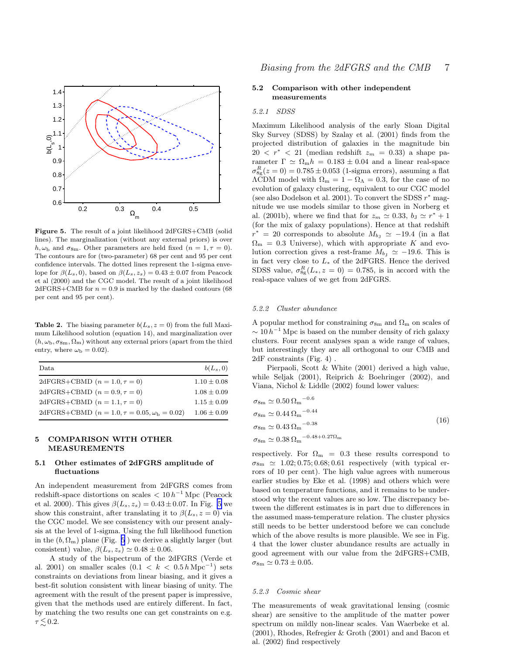<span id="page-6-0"></span>

Figure 5. The result of a joint likelihood 2dFGRS+CMB (solid lines). The marginalization (without any external priors) is over  $h, \omega_{\rm b}$  and  $\sigma_{8\rm m}$ . Other parameters are held fixed  $(n = 1, \tau = 0)$ . The contours are for (two-parameter) 68 per cent and 95 per cent confidence intervals. The dotted lines represent the 1-sigma envelope for  $\beta(L_s, 0)$ , based on  $\beta(L_s, z_s) = 0.43 \pm 0.07$  from Peacock et al (2000) and the CGC model. The result of a joint likelihood  $2dFGRS+CMB$  for  $n = 0.9$  is marked by the dashed contours (68) per cent and 95 per cent).

**Table 2.** The biasing parameter  $b(L_s, z = 0)$  from the full Maximum Likelihood solution (equation 14), and marginalization over  $(h, \omega_{\rm b}, \sigma_{8\rm m}, \Omega_{\rm m})$  without any external priors (apart from the third entry, where  $\omega_{\rm b} = 0.02$ ).

| Data                                                        | $b(L_s, 0)$     |
|-------------------------------------------------------------|-----------------|
| 2dFGRS+CBMD $(n = 1.0, \tau = 0)$                           | $1.10 \pm 0.08$ |
| 2dFGRS+CBMD $(n = 0.9, \tau = 0)$                           | $1.08 \pm 0.09$ |
| 2dFGRS+CBMD $(n = 1.1, \tau = 0)$                           | $1.15 \pm 0.09$ |
| 2dFGRS+CBMD $(n = 1.0, \tau = 0.05, \omega_{\rm b} = 0.02)$ | $1.06 \pm 0.09$ |
|                                                             |                 |

# 5 COMPARISON WITH OTHER MEASUREMENTS

# 5.1 Other estimates of 2dFGRS amplitude of fluctuations

An independent measurement from 2dFGRS comes from redshift-space distortions on scales  $< 10 h^{-1}$  Mpc (Peacock et al. 2000). This gives  $\beta(L_s, z_s) = 0.43 \pm 0.07$ . In Fig. 5 we show this constraint, after translating it to  $\beta(L_s, z = 0)$  via the CGC model. We see consistency with our present analysis at the level of 1-sigma. Using the full likelihood function in the  $(b, \Omega_m)$  plane (Fig. 5) we derive a slightly larger (but consistent) value,  $\beta(L_s, z_s) \simeq 0.48 \pm 0.06$ .

A study of the bispectrum of the 2dFGRS (Verde et al. 2001) on smaller scales  $(0.1 \, < \, k \, < \, 0.5 \, h \, \text{Mpc}^{-1})$  sets constraints on deviations from linear biasing, and it gives a best-fit solution consistent with linear biasing of unity. The agreement with the result of the present paper is impressive, given that the methods used are entirely different. In fact, by matching the two results one can get constraints on e.g.  $\tau \lesssim 0.2$ .

## 5.2 Comparison with other independent measurements

## 5.2.1 SDSS

Maximum Likelihood analysis of the early Sloan Digital Sky Survey (SDSS) by Szalay et al. (2001) finds from the projected distribution of galaxies in the magnitude bin  $20 \leq r^* \leq 21$  (median redshift  $z_m = 0.33$ ) a shape parameter  $\Gamma \simeq \Omega_{\rm m} h = 0.183 \pm 0.04$  and a linear real-space  $\sigma_{8g}^{R}(z=0) = 0.785 \pm 0.053$  (1-sigma errors), assuming a flat  $\widetilde{\Lambda}$ CDM model with  $\Omega_{\rm m} = 1 - \Omega_{\Lambda} = 0.3$ , for the case of no evolution of galaxy clustering, equivalent to our CGC model (see also Dodelson et al. 2001). To convert the SDSS  $r^*$  magnitude we use models similar to those given in Norberg et al. (2001b), where we find that for  $z_m \simeq 0.33$ ,  $b_J \simeq r^* + 1$ (for the mix of galaxy populations). Hence at that redshift  $r^* = 20$  corresponds to absolute  $M_{b,j} \simeq -19.4$  (in a flat  $\Omega_{\rm m} = 0.3$  Universe), which with appropriate K and evolution correction gives a rest-frame  $M_{b_1} \simeq -19.6$ . This is in fact very close to  $L_{*}$  of the 2dFGRS. Hence the derived SDSS value,  $\sigma_{8g}^{R}(L_{*}, z=0) = 0.785$ , is in accord with the real-space values of we get from 2dFGRS.

#### 5.2.2 Cluster abundance

A popular method for constraining  $\sigma_{8m}$  and  $\Omega_m$  on scales of  $\sim 10 h^{-1}$  Mpc is based on the number density of rich galaxy clusters. Four recent analyses span a wide range of values, but interestingly they are all orthogonal to our CMB and 2dF constraints (Fig. 4) .

Pierpaoli, Scott & White (2001) derived a high value, while Seljak (2001), Reiprich & Boehringer (2002), and Viana, Nichol & Liddle (2002) found lower values:

$$
\sigma_{8m} \simeq 0.50 \,\Omega_{\rm m}^{-0.6}
$$
  
\n
$$
\sigma_{8m} \simeq 0.44 \,\Omega_{\rm m}^{-0.44}
$$
  
\n
$$
\sigma_{8m} \simeq 0.43 \,\Omega_{\rm m}^{-0.38}
$$
  
\n
$$
\sigma_{8m} \simeq 0.38 \,\Omega_{\rm m}^{-0.48 + 0.27 \Omega_{\rm m}}
$$
\n(16)

respectively. For  $\Omega_{\rm m}$  = 0.3 these results correspond to  $\sigma_{8m} \simeq 1.02; 0.75; 0.68; 0.61$  respectively (with typical errors of 10 per cent). The high value agrees with numerous earlier studies by Eke et al. (1998) and others which were based on temperature functions, and it remains to be understood why the recent values are so low. The discrepancy between the different estimates is in part due to differences in the assumed mass-temperature relation. The cluster physics still needs to be better understood before we can conclude which of the above results is more plausible. We see in Fig. 4 that the lower cluster abundance results are actually in good agreement with our value from the 2dFGRS+CMB,  $\sigma_{8m} \simeq 0.73 \pm 0.05.$ 

#### 5.2.3 Cosmic shear

The measurements of weak gravitational lensing (cosmic shear) are sensitive to the amplitude of the matter power spectrum on mildly non-linear scales. Van Waerbeke et al. (2001), Rhodes, Refregier & Groth (2001) and and Bacon et al. (2002) find respectively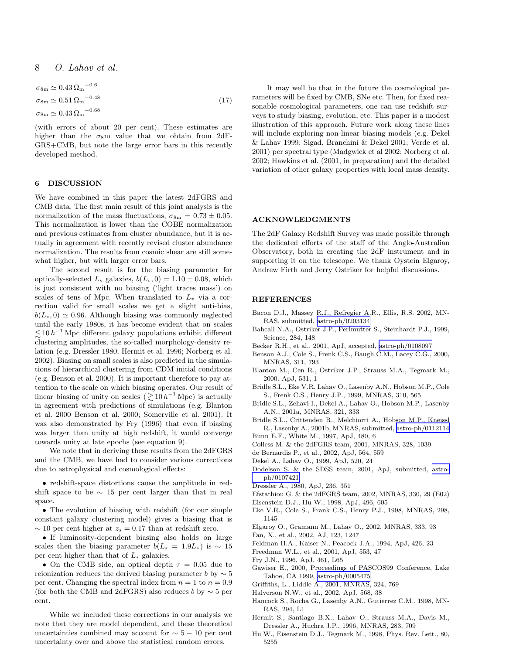8 O. Lahav et al.

$$
\sigma_{8\text{m}} \simeq 0.43 \,\Omega_{\text{m}}^{-0.6}
$$
  
\n
$$
\sigma_{8\text{m}} \simeq 0.51 \,\Omega_{\text{m}}^{-0.48}
$$
  
\n
$$
\sigma_{8\text{m}} \simeq 0.43 \,\Omega_{\text{m}}^{-0.68}
$$
\n(17)

(with errors of about 20 per cent). These estimates are higher than the  $\sigma_8$ m value that we obtain from 2dF-GRS+CMB, but note the large error bars in this recently developed method.

#### 6 DISCUSSION

We have combined in this paper the latest 2dFGRS and CMB data. The first main result of this joint analysis is the normalization of the mass fluctuations,  $\sigma_{8m} = 0.73 \pm 0.05$ . This normalization is lower than the COBE normalization and previous estimates from cluster abundance, but it is actually in agreement with recently revised cluster abundance normalization. The results from cosmic shear are still somewhat higher, but with larger error bars.

The second result is for the biasing parameter for optically-selected  $L_s$  galaxies,  $b(L_s, 0) = 1.10 \pm 0.08$ , which is just consistent with no biasing ('light traces mass') on scales of tens of Mpc. When translated to  $L_*$  via a correction valid for small scales we get a slight anti-bias,  $b(L_*,0) \simeq 0.96$ . Although biasing was commonly neglected until the early 1980s, it has become evident that on scales  $\lesssim$  10  $h^{−1}$  Mpc different galaxy populations exhibit different clustering amplitudes, the so-called morphology-density relation (e.g. Dressler 1980; Hermit et al. 1996; Norberg et al. 2002). Biasing on small scales is also predicted in the simulations of hierarchical clustering from CDM initial conditions (e.g. Benson et al. 2000). It is important therefore to pay attention to the scale on which biasing operates. Our result of linear biasing of unity on scales  $(\gtrsim 10 h^{-1}$  Mpc) is actually in agreement with predictions of simulations (e.g. Blanton et al. 2000 Benson et al. 2000; Somerville et al. 2001). It was also demonstrated by Fry (1996) that even if biasing was larger than unity at high redshift, it would converge towards unity at late epochs (see equation 9).

We note that in deriving these results from the 2dFGRS and the CMB, we have had to consider various corrections due to astrophysical and cosmological effects:

• redshift-space distortions cause the amplitude in redshift space to be  $\sim$  15 per cent larger than that in real space.

• The evolution of biasing with redshift (for our simple constant galaxy clustering model) gives a biasing that is  $\sim$  10 per cent higher at  $z_s = 0.17$  than at redshift zero.

• If luminosity-dependent biasing also holds on large scales then the biasing parameter  $b(L_s = 1.9L_*)$  is ~ 15 per cent higher than that of  $L_*$  galaxies.

• On the CMB side, an optical depth  $\tau = 0.05$  due to reionization reduces the derived biasing parameter b by  $\sim 5$ per cent. Changing the spectral index from  $n = 1$  to  $n = 0.9$ (for both the CMB and 2dFGRS) also reduces b by  $\sim$  5 per cent.

While we included these corrections in our analysis we note that they are model dependent, and these theoretical uncertainties combined may account for  $\sim 5 - 10$  per cent uncertainty over and above the statistical random errors.

It may well be that in the future the cosmological parameters will be fixed by CMB, SNe etc. Then, for fixed reasonable cosmological parameters, one can use redshift surveys to study biasing, evolution, etc. This paper is a modest illustration of this approach. Future work along these lines will include exploring non-linear biasing models (e.g. Dekel & Lahav 1999; Sigad, Branchini & Dekel 2001; Verde et al. 2001) per spectral type (Madgwick et al 2002; Norberg et al. 2002; Hawkins et al. (2001, in preparation) and the detailed variation of other galaxy properties with local mass density.

#### ACKNOWLEDGMENTS

The 2dF Galaxy Redshift Survey was made possible through the dedicated efforts of the staff of the Anglo-Australian Observatory, both in creating the 2dF instrument and in supporting it on the telescope. We thank Oystein Elgaroy, Andrew Firth and Jerry Ostriker for helpful discussions.

#### REFERENCES

- Bacon D.J., Massey R.J., Refregier A.R., Ellis, R.S. 2002, MN-RAS, submitted, [astro-ph/0203134](http://arXiv.org/abs/astro-ph/0203134)
- Bahcall N.A., Ostriker J.P., Perlmutter S., Steinhardt P.J., 1999, Science, 284, 148
- Becker R.H., et al., 2001, ApJ, accepted, [astro-ph/0108097](http://arXiv.org/abs/astro-ph/0108097)
- Benson A.J., Cole S., Frenk C.S., Baugh C.M., Lacey C.G., 2000, MNRAS, 311, 793
- Blanton M., Cen R., Ostriker J.P., Strauss M.A., Tegmark M., 2000. ApJ, 531, 1
- Bridle S.L., Eke V.R. Lahav O., Lasenby A.N., Hobson M.P., Cole S., Frenk C.S., Henry J.P., 1999, MNRAS, 310, 565
- Bridle S.L., Zehavi I., Dekel A., Lahav O., Hobson M.P., Lasenby A.N., 2001a, MNRAS, 321, 333

Bridle S.L., Crittenden R., Melchiorri A., Hobson M.P., Kneissl R., Lasenby A., 2001b, MNRAS, submitted, [astro-ph/0112114](http://arXiv.org/abs/astro-ph/0112114)

- Bunn E.F., White M., 1997, ApJ, 480, 6
- Colless M. & the 2dFGRS team, 2001, MNRAS, 328, 1039
- de Bernardis P., et al., 2002, ApJ, 564, 559
- Dekel A., Lahav O., 1999, ApJ, 520, 24
- Dodelson S. & the SDSS team, 2001, ApJ, submitted, [astro](http://arXiv.org/abs/astro-ph/0107421)[ph/0107421](http://arXiv.org/abs/astro-ph/0107421)
- Dressler A., 1980, ApJ, 236, 351
- Efstathiou G. & the 2dFGRS team, 2002, MNRAS, 330, 29 (E02)
- Eisenstein D.J., Hu W., 1998, ApJ, 496, 605
- Eke V.R., Cole S., Frank C.S., Henry P.J., 1998, MNRAS, 298, 1145
- Elgaroy O., Gramann M., Lahav O., 2002, MNRAS, 333, 93
- Fan, X., et al., 2002, AJ, 123, 1247
- Feldman H.A., Kaiser N., Peacock J.A., 1994, ApJ, 426, 23
- Freedman W.L., et al., 2001, ApJ, 553, 47
- Fry J.N., 1996, ApJ, 461, L65
- Gawiser E., 2000, Proceedings of PASCOS99 Conference, Lake Tahoe, CA 1999, [astro-ph/0005475](http://arXiv.org/abs/astro-ph/0005475)
- Griffiths, L., Liddle A., 2001, MNRAS, 324, 769
- Halverson N.W., et al., 2002, ApJ, 568, 38
- Hancock S., Rocha G., Lasenby A.N., Gutierrez C.M., 1998, MN-RAS, 294, L1
- Hermit S., Santiago B.X., Lahav O., Strauss M.A., Davis M., Dressler A., Huchra J.P., 1996, MNRAS, 283, 709
- Hu W., Eisenstein D.J., Tegmark M., 1998, Phys. Rev. Lett., 80, 5255